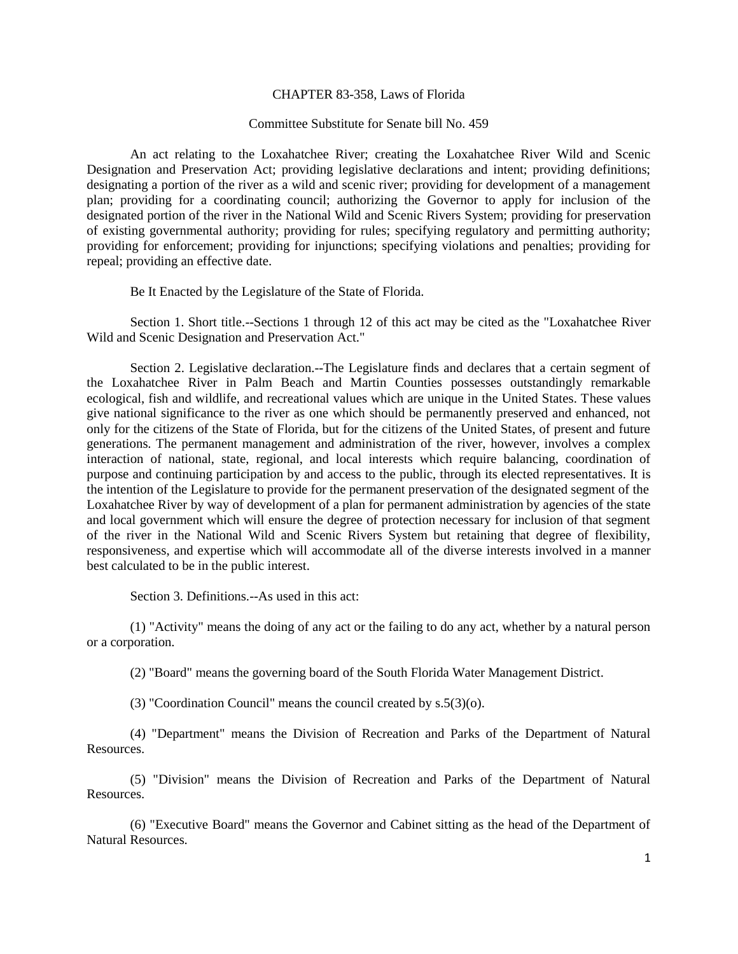## CHAPTER 83-358, Laws of Florida

## Committee Substitute for Senate bill No. 459

An act relating to the Loxahatchee River; creating the Loxahatchee River Wild and Scenic Designation and Preservation Act; providing legislative declarations and intent; providing definitions; designating a portion of the river as a wild and scenic river; providing for development of a management plan; providing for a coordinating council; authorizing the Governor to apply for inclusion of the designated portion of the river in the National Wild and Scenic Rivers System; providing for preservation of existing governmental authority; providing for rules; specifying regulatory and permitting authority; providing for enforcement; providing for injunctions; specifying violations and penalties; providing for repeal; providing an effective date.

Be It Enacted by the Legislature of the State of Florida.

Section 1. Short title.--Sections 1 through 12 of this act may be cited as the "Loxahatchee River Wild and Scenic Designation and Preservation Act."

Section 2. Legislative declaration.--The Legislature finds and declares that a certain segment of the Loxahatchee River in Palm Beach and Martin Counties possesses outstandingly remarkable ecological, fish and wildlife, and recreational values which are unique in the United States. These values give national significance to the river as one which should be permanently preserved and enhanced, not only for the citizens of the State of Florida, but for the citizens of the United States, of present and future generations. The permanent management and administration of the river, however, involves a complex interaction of national, state, regional, and local interests which require balancing, coordination of purpose and continuing participation by and access to the public, through its elected representatives. It is the intention of the Legislature to provide for the permanent preservation of the designated segment of the Loxahatchee River by way of development of a plan for permanent administration by agencies of the state and local government which will ensure the degree of protection necessary for inclusion of that segment of the river in the National Wild and Scenic Rivers System but retaining that degree of flexibility, responsiveness, and expertise which will accommodate all of the diverse interests involved in a manner best calculated to be in the public interest.

Section 3. Definitions.--As used in this act:

(1) "Activity" means the doing of any act or the failing to do any act, whether by a natural person or a corporation.

(2) "Board" means the governing board of the South Florida Water Management District.

(3) "Coordination Council" means the council created by s.5(3)(o).

(4) "Department" means the Division of Recreation and Parks of the Department of Natural Resources.

(5) "Division" means the Division of Recreation and Parks of the Department of Natural Resources.

(6) "Executive Board" means the Governor and Cabinet sitting as the head of the Department of Natural Resources.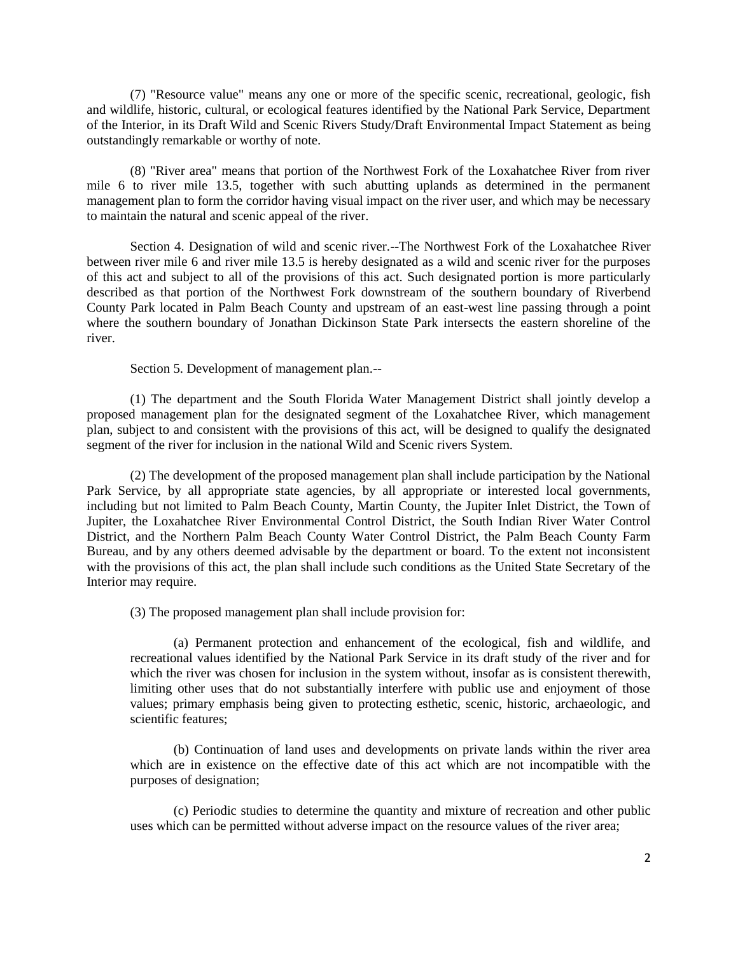(7) "Resource value" means any one or more of the specific scenic, recreational, geologic, fish and wildlife, historic, cultural, or ecological features identified by the National Park Service, Department of the Interior, in its Draft Wild and Scenic Rivers Study/Draft Environmental Impact Statement as being outstandingly remarkable or worthy of note.

(8) "River area" means that portion of the Northwest Fork of the Loxahatchee River from river mile 6 to river mile 13.5, together with such abutting uplands as determined in the permanent management plan to form the corridor having visual impact on the river user, and which may be necessary to maintain the natural and scenic appeal of the river.

Section 4. Designation of wild and scenic river.--The Northwest Fork of the Loxahatchee River between river mile 6 and river mile 13.5 is hereby designated as a wild and scenic river for the purposes of this act and subject to all of the provisions of this act. Such designated portion is more particularly described as that portion of the Northwest Fork downstream of the southern boundary of Riverbend County Park located in Palm Beach County and upstream of an east-west line passing through a point where the southern boundary of Jonathan Dickinson State Park intersects the eastern shoreline of the river.

Section 5. Development of management plan.--

(1) The department and the South Florida Water Management District shall jointly develop a proposed management plan for the designated segment of the Loxahatchee River, which management plan, subject to and consistent with the provisions of this act, will be designed to qualify the designated segment of the river for inclusion in the national Wild and Scenic rivers System.

(2) The development of the proposed management plan shall include participation by the National Park Service, by all appropriate state agencies, by all appropriate or interested local governments, including but not limited to Palm Beach County, Martin County, the Jupiter Inlet District, the Town of Jupiter, the Loxahatchee River Environmental Control District, the South Indian River Water Control District, and the Northern Palm Beach County Water Control District, the Palm Beach County Farm Bureau, and by any others deemed advisable by the department or board. To the extent not inconsistent with the provisions of this act, the plan shall include such conditions as the United State Secretary of the Interior may require.

(3) The proposed management plan shall include provision for:

(a) Permanent protection and enhancement of the ecological, fish and wildlife, and recreational values identified by the National Park Service in its draft study of the river and for which the river was chosen for inclusion in the system without, insofar as is consistent therewith, limiting other uses that do not substantially interfere with public use and enjoyment of those values; primary emphasis being given to protecting esthetic, scenic, historic, archaeologic, and scientific features;

(b) Continuation of land uses and developments on private lands within the river area which are in existence on the effective date of this act which are not incompatible with the purposes of designation;

(c) Periodic studies to determine the quantity and mixture of recreation and other public uses which can be permitted without adverse impact on the resource values of the river area;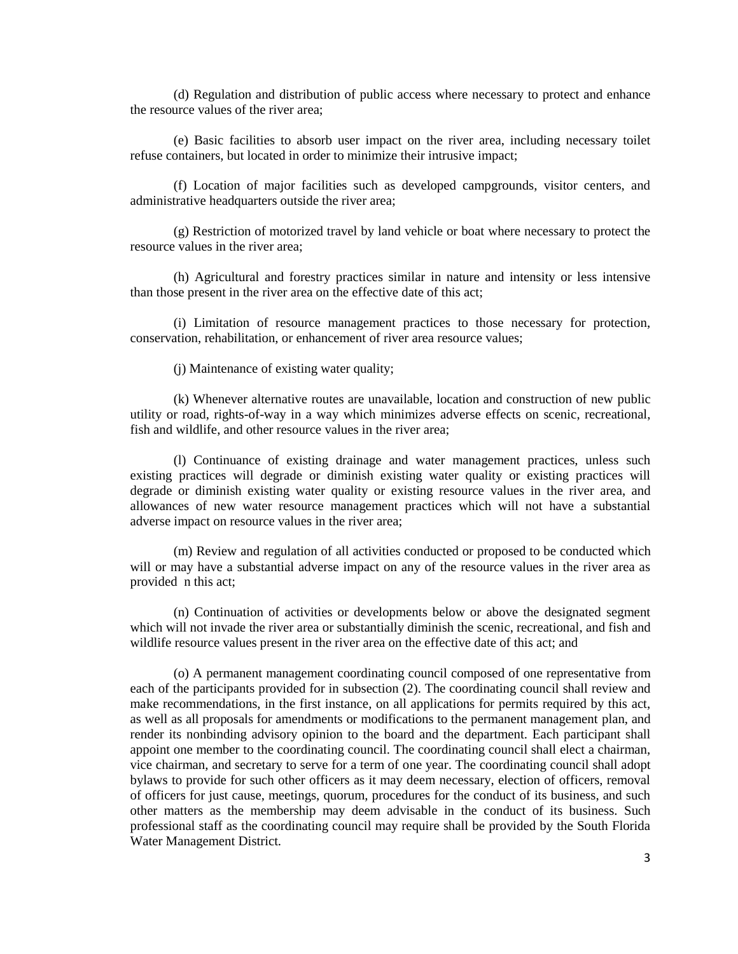(d) Regulation and distribution of public access where necessary to protect and enhance the resource values of the river area;

(e) Basic facilities to absorb user impact on the river area, including necessary toilet refuse containers, but located in order to minimize their intrusive impact;

(f) Location of major facilities such as developed campgrounds, visitor centers, and administrative headquarters outside the river area;

(g) Restriction of motorized travel by land vehicle or boat where necessary to protect the resource values in the river area;

(h) Agricultural and forestry practices similar in nature and intensity or less intensive than those present in the river area on the effective date of this act;

(i) Limitation of resource management practices to those necessary for protection, conservation, rehabilitation, or enhancement of river area resource values;

(j) Maintenance of existing water quality;

(k) Whenever alternative routes are unavailable, location and construction of new public utility or road, rights-of-way in a way which minimizes adverse effects on scenic, recreational, fish and wildlife, and other resource values in the river area;

(l) Continuance of existing drainage and water management practices, unless such existing practices will degrade or diminish existing water quality or existing practices will degrade or diminish existing water quality or existing resource values in the river area, and allowances of new water resource management practices which will not have a substantial adverse impact on resource values in the river area;

(m) Review and regulation of all activities conducted or proposed to be conducted which will or may have a substantial adverse impact on any of the resource values in the river area as provided n this act;

(n) Continuation of activities or developments below or above the designated segment which will not invade the river area or substantially diminish the scenic, recreational, and fish and wildlife resource values present in the river area on the effective date of this act; and

(o) A permanent management coordinating council composed of one representative from each of the participants provided for in subsection (2). The coordinating council shall review and make recommendations, in the first instance, on all applications for permits required by this act, as well as all proposals for amendments or modifications to the permanent management plan, and render its nonbinding advisory opinion to the board and the department. Each participant shall appoint one member to the coordinating council. The coordinating council shall elect a chairman, vice chairman, and secretary to serve for a term of one year. The coordinating council shall adopt bylaws to provide for such other officers as it may deem necessary, election of officers, removal of officers for just cause, meetings, quorum, procedures for the conduct of its business, and such other matters as the membership may deem advisable in the conduct of its business. Such professional staff as the coordinating council may require shall be provided by the South Florida Water Management District.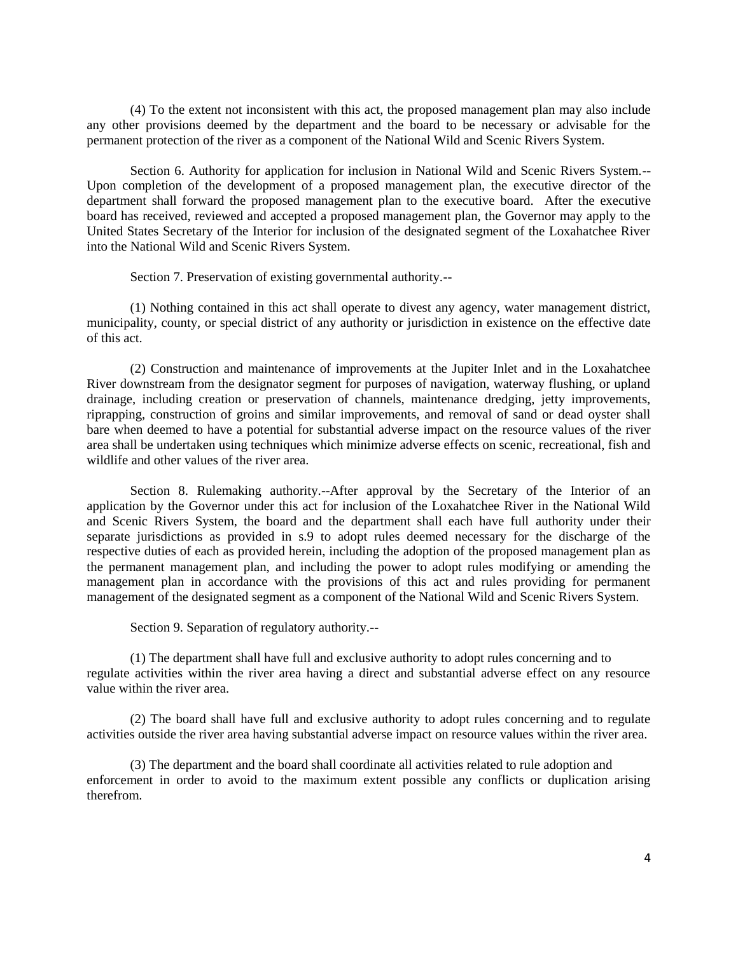(4) To the extent not inconsistent with this act, the proposed management plan may also include any other provisions deemed by the department and the board to be necessary or advisable for the permanent protection of the river as a component of the National Wild and Scenic Rivers System.

Section 6. Authority for application for inclusion in National Wild and Scenic Rivers System.-- Upon completion of the development of a proposed management plan, the executive director of the department shall forward the proposed management plan to the executive board. After the executive board has received, reviewed and accepted a proposed management plan, the Governor may apply to the United States Secretary of the Interior for inclusion of the designated segment of the Loxahatchee River into the National Wild and Scenic Rivers System.

Section 7. Preservation of existing governmental authority.--

(1) Nothing contained in this act shall operate to divest any agency, water management district, municipality, county, or special district of any authority or jurisdiction in existence on the effective date of this act.

(2) Construction and maintenance of improvements at the Jupiter Inlet and in the Loxahatchee River downstream from the designator segment for purposes of navigation, waterway flushing, or upland drainage, including creation or preservation of channels, maintenance dredging, jetty improvements, riprapping, construction of groins and similar improvements, and removal of sand or dead oyster shall bare when deemed to have a potential for substantial adverse impact on the resource values of the river area shall be undertaken using techniques which minimize adverse effects on scenic, recreational, fish and wildlife and other values of the river area.

Section 8. Rulemaking authority.--After approval by the Secretary of the Interior of an application by the Governor under this act for inclusion of the Loxahatchee River in the National Wild and Scenic Rivers System, the board and the department shall each have full authority under their separate jurisdictions as provided in s.9 to adopt rules deemed necessary for the discharge of the respective duties of each as provided herein, including the adoption of the proposed management plan as the permanent management plan, and including the power to adopt rules modifying or amending the management plan in accordance with the provisions of this act and rules providing for permanent management of the designated segment as a component of the National Wild and Scenic Rivers System.

Section 9. Separation of regulatory authority.--

(1) The department shall have full and exclusive authority to adopt rules concerning and to regulate activities within the river area having a direct and substantial adverse effect on any resource value within the river area.

(2) The board shall have full and exclusive authority to adopt rules concerning and to regulate activities outside the river area having substantial adverse impact on resource values within the river area.

(3) The department and the board shall coordinate all activities related to rule adoption and enforcement in order to avoid to the maximum extent possible any conflicts or duplication arising therefrom.